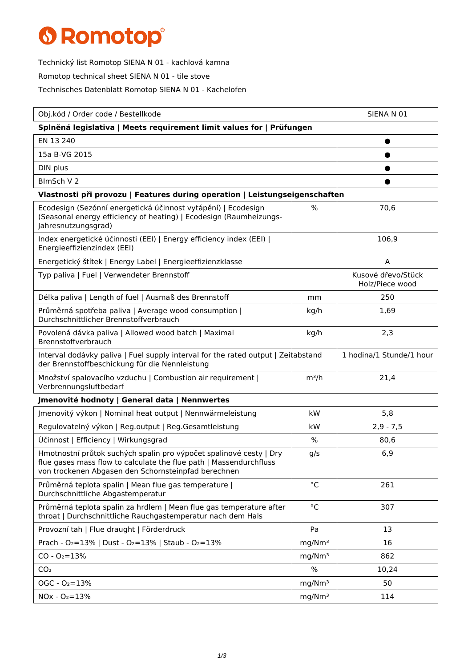## **6 Romotop®**

Technický list Romotop SIENA N 01 - kachlová kamna

Romotop technical sheet SIENA N 01 - tile stove

Technisches Datenblatt Romotop SIENA N 01 - Kachelofen

| Obj.kód / Order code / Bestellkode                                                                                                                                                              |                    | SIENA N 01                            |  |  |
|-------------------------------------------------------------------------------------------------------------------------------------------------------------------------------------------------|--------------------|---------------------------------------|--|--|
| Splněná legislativa   Meets requirement limit values for   Prüfungen                                                                                                                            |                    |                                       |  |  |
| EN 13 240                                                                                                                                                                                       |                    |                                       |  |  |
| 15a B-VG 2015                                                                                                                                                                                   |                    |                                       |  |  |
| DIN plus                                                                                                                                                                                        |                    |                                       |  |  |
| BlmSch V 2                                                                                                                                                                                      |                    |                                       |  |  |
| Vlastnosti při provozu   Features during operation   Leistungseigenschaften                                                                                                                     |                    |                                       |  |  |
| Ecodesign (Sezónní energetická účinnost vytápění)   Ecodesign<br>(Seasonal energy efficiency of heating)   Ecodesign (Raumheizungs-<br>Jahresnutzungsgrad)                                      | $\%$               | 70,6                                  |  |  |
| Index energetické účinnosti (EEI)   Energy efficiency index (EEI)  <br>Energieeffizienzindex (EEI)                                                                                              |                    | 106,9                                 |  |  |
| Energetický štítek   Energy Label   Energieeffizienzklasse                                                                                                                                      |                    | A                                     |  |  |
| Typ paliva   Fuel   Verwendeter Brennstoff                                                                                                                                                      |                    | Kusové dřevo/Stück<br>Holz/Piece wood |  |  |
| Délka paliva   Length of fuel   Ausmaß des Brennstoff                                                                                                                                           | mm                 | 250                                   |  |  |
| Průměrná spotřeba paliva   Average wood consumption  <br>Durchschnittlicher Brennstoffverbrauch                                                                                                 | kg/h               | 1,69                                  |  |  |
| Povolená dávka paliva   Allowed wood batch   Maximal<br>Brennstoffverbrauch                                                                                                                     | kg/h               | 2,3                                   |  |  |
| Interval dodávky paliva   Fuel supply interval for the rated output   Zeitabstand<br>der Brennstoffbeschickung für die Nennleistung                                                             |                    | 1 hodina/1 Stunde/1 hour              |  |  |
| Množství spalovacího vzduchu   Combustion air requirement  <br>Verbrennungsluftbedarf                                                                                                           | $m^3/h$            | 21,4                                  |  |  |
| Jmenovité hodnoty   General data   Nennwertes                                                                                                                                                   |                    |                                       |  |  |
| Imenovitý výkon   Nominal heat output   Nennwärmeleistung                                                                                                                                       | kW                 | 5,8                                   |  |  |
| Regulovatelný výkon   Reg.output   Reg.Gesamtleistung                                                                                                                                           | kW                 | $2,9 - 7,5$                           |  |  |
| Účinnost   Efficiency   Wirkungsgrad                                                                                                                                                            | %                  | 80,6                                  |  |  |
| Hmotnostní průtok suchých spalin pro výpočet spalinové cesty   Dry<br>flue gases mass flow to calculate the flue path   Massendurchfluss<br>von trockenen Abgasen den Schornsteinpfad berechnen | g/s                | 6,9                                   |  |  |
| Průměrná teplota spalin   Mean flue gas temperature  <br>Durchschnittliche Abgastemperatur                                                                                                      | $^{\circ}$ C       | 261                                   |  |  |
| Průměrná teplota spalin za hrdlem   Mean flue gas temperature after<br>throat   Durchschnittliche Rauchgastemperatur nach dem Hals                                                              | $^{\circ}$ C       | 307                                   |  |  |
| Provozní tah   Flue draught   Förderdruck                                                                                                                                                       | Pa                 | 13                                    |  |  |
| Prach - O <sub>2</sub> =13%   Dust - O <sub>2</sub> =13%   Staub - O <sub>2</sub> =13%                                                                                                          | mg/Nm <sup>3</sup> | 16                                    |  |  |
| $CO - O_2 = 13%$                                                                                                                                                                                | mg/Nm <sup>3</sup> | 862                                   |  |  |
| CO <sub>2</sub>                                                                                                                                                                                 | %                  | 10,24                                 |  |  |
| $OGC - O2=13%$                                                                                                                                                                                  | mg/Nm <sup>3</sup> | 50                                    |  |  |
| $NOx - O_2 = 13%$                                                                                                                                                                               | mg/Nm <sup>3</sup> | 114                                   |  |  |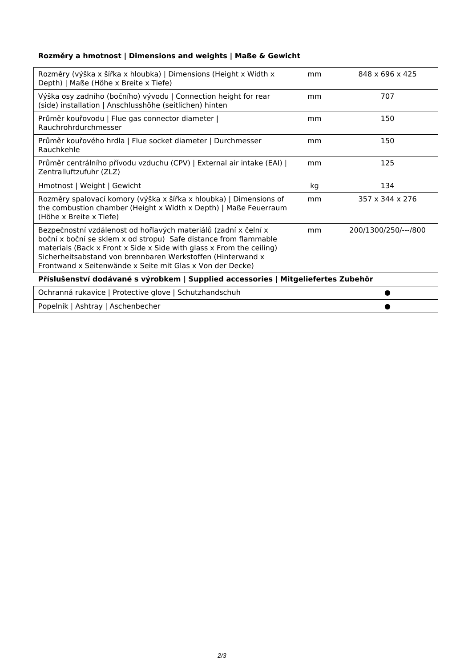## **Rozměry a hmotnost | Dimensions and weights | Maße & Gewicht**

| Rozměry (výška x šířka x hloubka)   Dimensions (Height x Width x<br>Depth)   Maße (Höhe x Breite x Tiefe)                                                                                                                                                                                                                               | mm | 848 x 696 x 425      |  |
|-----------------------------------------------------------------------------------------------------------------------------------------------------------------------------------------------------------------------------------------------------------------------------------------------------------------------------------------|----|----------------------|--|
| Výška osy zadního (bočního) vývodu   Connection height for rear<br>(side) installation   Anschlusshöhe (seitlichen) hinten                                                                                                                                                                                                              | mm | 707                  |  |
| Průměr kouřovodu   Flue gas connector diameter  <br>Rauchrohrdurchmesser                                                                                                                                                                                                                                                                | mm | 150                  |  |
| Průměr kouřového hrdla   Flue socket diameter   Durchmesser<br>Rauchkehle                                                                                                                                                                                                                                                               | mm | 150                  |  |
| Průměr centrálního přívodu vzduchu (CPV)   External air intake (EAI)  <br>Zentralluftzufuhr (ZLZ)                                                                                                                                                                                                                                       | mm | 125                  |  |
| Hmotnost   Weight   Gewicht                                                                                                                                                                                                                                                                                                             | kg | 134                  |  |
| Rozměry spalovací komory (výška x šířka x hloubka)   Dimensions of<br>the combustion chamber (Height x Width x Depth)   Maße Feuerraum<br>(Höhe x Breite x Tiefe)                                                                                                                                                                       | mm | 357 x 344 x 276      |  |
| Bezpečnostní vzdálenost od hořlavých materiálů (zadní x čelní x<br>boční x boční se sklem x od stropu) Safe distance from flammable<br>materials (Back x Front x Side x Side with glass x From the ceiling)<br>Sicherheitsabstand von brennbaren Werkstoffen (Hinterwand x<br>Frontwand x Seitenwände x Seite mit Glas x Von der Decke) | mm | 200/1300/250/---/800 |  |
| Příslušenství dodávané s výrobkem   Supplied accessories   Mitgeliefertes Zubehör                                                                                                                                                                                                                                                       |    |                      |  |

| Ochranná rukavice   Protective glove   Schutzhandschuh |  |
|--------------------------------------------------------|--|
| Popelník   Ashtray   Aschenbecher                      |  |